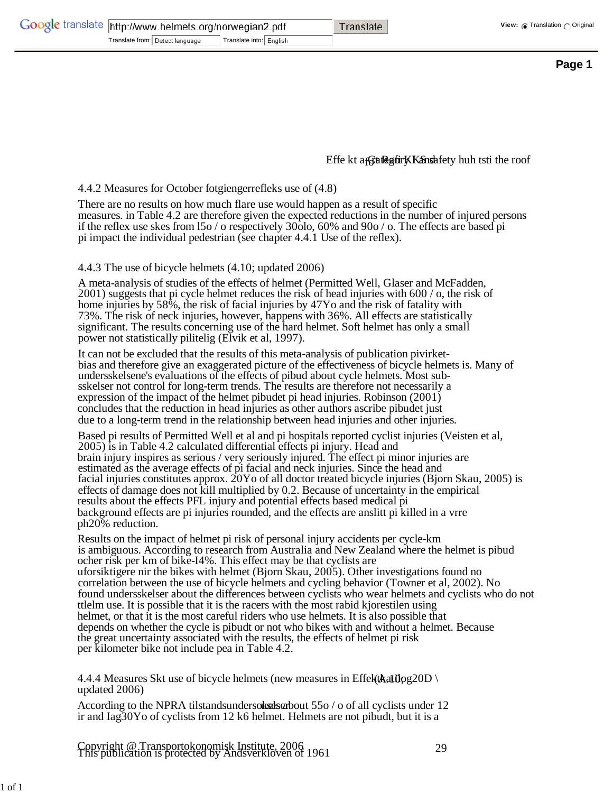| Google translate http://www.helmets.org/norwegian2.pdf |                                 |                         |  | Translate |
|--------------------------------------------------------|---------------------------------|-------------------------|--|-----------|
|                                                        | Translate from: Detect language | Translate into: English |  |           |

## Effe kt a Gategory Kansafety huh tsti the roof

## 4.4.2 Measures for October fotgiengerrefleks use of (4.8)

There are no results on how much flare use would happen as a result of specific measures. in Table 4.2 are therefore given the expected reductions in the number of injured persons if the reflex use skes from l5o / o respectively 30olo, 60% and 90o / o. The effects are based pi pi impact the individual pedestrian (see chapter 4.4.1 Use of the reflex).

## 4.4.3 The use of bicycle helmets (4.10; updated 2006)

A meta-analysis of studies of the effects of helmet (Permitted Well, Glaser and McFadden, 2001) suggests that pi cycle helmet reduces the risk of head injuries with 600 / o, the risk of home injuries by 58%, the risk of facial injuries by 47Yo and the risk of fatality with 73%. The risk of neck injuries, however, happens with 36%. All effects are statistically significant. The results concerning use of the hard helmet. Soft helmet has only a small power not statistically pilitelig (Elvik et al, 1997).

It can not be excluded that the results of this meta-analysis of publication pivirketbias and therefore give an exaggerated picture of the effectiveness of bicycle helmets is. Many of undersskelsene's evaluations of the effects of pibud about cycle helmets. Most subsskelser not control for long-term trends. The results are therefore not necessarily a expression of the impact of the helmet pibudet pi head injuries. Robinson (2001) concludes that the reduction in head injuries as other authors ascribe pibudet just due to a long-term trend in the relationship between head injuries and other injuries.

Based pi results of Permitted Well et al and pi hospitals reported cyclist injuries (Veisten et al, 2005) is in Table 4.2 calculated differential effects pi injury. Head and brain injury inspires as serious / very seriously injured. The effect pi minor injuries are estimated as the average effects of pi facial and neck injuries. Since the head and facial injuries constitutes approx. 20Yo of all doctor treated bicycle injuries (Bjorn Skau, 2005) is effects of damage does not kill multiplied by 0.2. Because of uncertainty in the empirical results about the effects PFL injury and potential effects based medical pi background effects are pi injuries rounded, and the effects are anslitt pi killed in a vrre ph20% reduction.

Results on the impact of helmet pi risk of personal injury accidents per cycle-km is ambiguous. According to research from Australia and New Zealand where the helmet is pibud ocher risk per km of bike-I4%. This effect may be that cyclists are uforsiktigere nir the bikes with helmet (Bjorn Skau, 2005). Other investigations found no correlation between the use of bicycle helmets and cycling behavior (Towner et al, 2002). No found undersskelser about the differences between cyclists who wear helmets and cyclists who do not ttlelm use. It is possible that it is the racers with the most rabid kjorestilen using helmet, or that it is the most careful riders who use helmets. It is also possible that depends on whether the cycle is pibudt or not who bikes with and without a helmet. Because the great uncertainty associated with the results, the effects of helmet pi risk per kilometer bike not include pea in Table 4.2.

4.4.4 Measures Skt use of bicycle helmets (new measures in Effekt**Aatilo**g20D) updated 2006)

According to the NPRA tilstandsundersorked seriout  $550 / o$  of all cyclists under 12 ir and Iag30Yo of cyclists from 12 k6 helmet. Helmets are not pibudt, but it is a

Copyright @ Transportokonomisk Institute, 2006 1961 29<br>This publication is protected by Andsverkloven of 1961